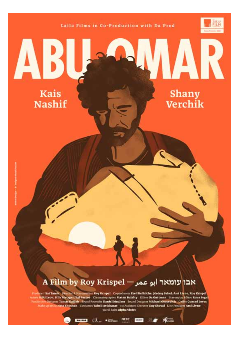Laila Films in Co-Production with Da Prod



# **Kais Nashif**

**Shany** Verchik

# A Film by Roy Krispel — אבו עומאר | אבו

Punkeer Itai Tamir - Punche & Schemmiter Roy Krispel - Co producers Fred Bellaiche, Jérémy Sahel, Ami Livne, Roy Krispel<br>Armis Miki Leon, Hila Metzger, Tal Bartov - Cinematographer Matan Balalty - Editor Oz Guttman - Scree World Sales Alpha Violet

ETHER OLD SERIES MESS ETHE SIMPLE SERIES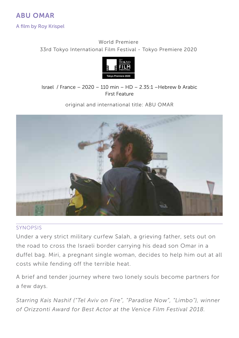A film by Roy Krispel

## World Premiere 33rd Tokyo International Film Festival - Tokyo Premiere 2020



#### Israel / France – 2020 – 110 min – HD – 2.35:1 –Hebrew & Arabic First Feature

original and international title: ABU OMAR



#### SYNOPSIS

Under a very strict military curfew Salah, a grieving father, sets out on the road to cross the Israeli border carrying his dead son Omar in a duffel bag. Miri, a pregnant single woman, decides to help him out at all costs while fending off the terrible heat.

A brief and tender journey where two lonely souls become partners for a few days.

*Starring Kais Nashif ("Tel Aviv on Fire", "Paradise Now", "Limbo"), winner of Orizzonti Award for Best Actor at the Venice Film Festival 2018.*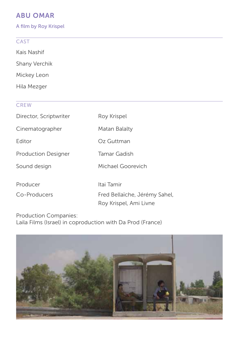A film by Roy Krispel

## **CAST**

Kais Nashif

Shany Verchik

Mickey Leon

Hila Mezger

## **CREW**

| Director, Scriptwriter     | Roy Krispel                                             |
|----------------------------|---------------------------------------------------------|
| Cinematographer            | Matan Balalty                                           |
| <b>F</b> ditor             | Oz Guttman                                              |
| <b>Production Designer</b> | Tamar Gadish                                            |
| Sound design               | Michael Goorevich                                       |
| Producer                   | Itai Tamir                                              |
| Co-Producers               | Fred Bellaïche, Jérémy Sahel,<br>Roy Krispel, Ami Livne |

Production Companies: Laila Films (Israel) in coproduction with Da Prod (France)

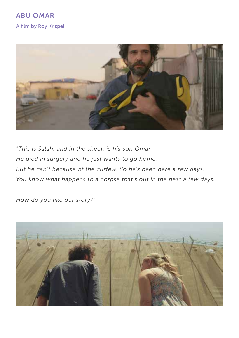A film by Roy Krispel



*"This is Salah, and in the sheet, is his son Omar. He died in surgery and he just wants to go home. But he can't because of the curfew. So he's been here a few days. You know what happens to a corpse that's out in the heat a few days.*

*How do you like our story?"*

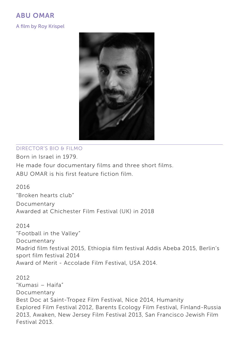## ABU OMAR A film by Roy Krispel



### Director's BIO & filmO

Born in Israel in 1979. He made four documentary films and three short films. ABU OMAR is his first feature fiction film.

2016 "Broken hearts club" Documentary Awarded at Chichester Film Festival (UK) in 2018

2014 "Football in the Valley" Documentary Madrid film festival 2015, Ethiopia film festival Addis Abeba 2015, Berlin's sport film festival 2014 Award of Merit - Accolade Film Festival, USA 2014.

2012 "Kumasi – Haifa" Documentary Best Doc at Saint-Tropez Film Festival, Nice 2014, Humanity Explored Film Festival 2012, Barents Ecology Film Festival, Finland-Russia 2013, Awaken, New Jersey Film Festival 2013, San Francisco Jewish Film Festival 2013.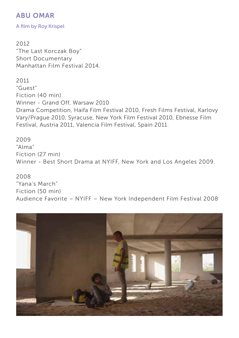A film by Roy Krispel

2012 "The Last Korczak Boy" Short Documentary Manhattan Film Festival 2014.

2011 "Guest" Fiction (40 min) Winner - Grand Off, Warsaw 2010 Drama Competition, Haifa Film Festival 2010, Fresh Films Festival, Karlovy Vary/Prague 2010, Syracuse, New York Film Festival 2010, Ebnesse Film Festival, Austria 2011, Valencia Film Festival, Spain 2011.

2009 "Alma" Fiction (27 min) Winner - Best Short Drama at NYIFF, New York and Los Angeles 2009.

## 2008

"Yana's March" Fiction (50 min) Audience Favorite – NYIFF – New York Independent Film Festival 2008

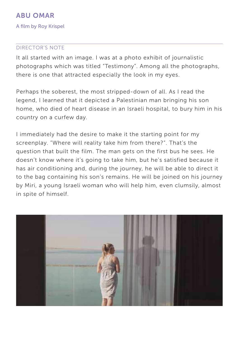A film by Roy Krispel

#### director's NOTE

It all started with an image. I was at a photo exhibit of journalistic photographs which was titled "Testimony". Among all the photographs, there is one that attracted especially the look in my eyes.

Perhaps the soberest, the most stripped-down of all. As I read the legend, I learned that it depicted a Palestinian man bringing his son home, who died of heart disease in an Israeli hospital, to bury him in his country on a curfew day.

I immediately had the desire to make it the starting point for my screenplay. "Where will reality take him from there?". That's the question that built the film. The man gets on the first bus he sees. He doesn't know where it's going to take him, but he's satisfied because it has air conditioning and, during the journey, he will be able to direct it to the bag containing his son's remains. He will be joined on his journey by Miri, a young Israeli woman who will help him, even clumsily, almost in spite of himself.

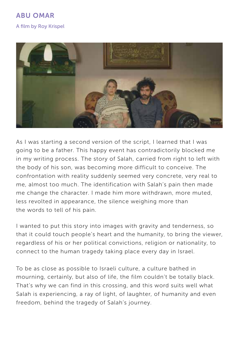# ABU OMAR A film by Roy Krispel



As I was starting a second version of the script, I learned that I was going to be a father. This happy event has contradictorily blocked me in my writing process. The story of Salah, carried from right to left with the body of his son, was becoming more difficult to conceive. The confrontation with reality suddenly seemed very concrete, very real to me, almost too much. The identification with Salah's pain then made me change the character. I made him more withdrawn, more muted, less revolted in appearance, the silence weighing more than the words to tell of his pain.

I wanted to put this story into images with gravity and tenderness, so that it could touch people's heart and the humanity, to bring the viewer, regardless of his or her political convictions, religion or nationality, to connect to the human tragedy taking place every day in Israel.

To be as close as possible to Israeli culture, a culture bathed in mourning, certainly, but also of life, the film couldn't be totally black. That's why we can find in this crossing, and this word suits well what Salah is experiencing, a ray of light, of laughter, of humanity and even freedom, behind the tragedy of Salah's journey.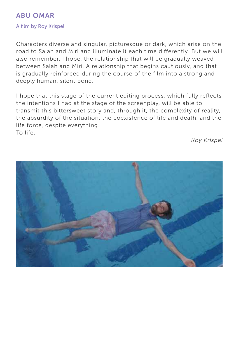#### A film by Roy Krispel

Characters diverse and singular, picturesque or dark, which arise on the road to Salah and Miri and illuminate it each time differently. But we will also remember, I hope, the relationship that will be gradually weaved between Salah and Miri. A relationship that begins cautiously, and that is gradually reinforced during the course of the film into a strong and deeply human, silent bond.

I hope that this stage of the current editing process, which fully reflects the intentions I had at the stage of the screenplay, will be able to transmit this bittersweet story and, through it, the complexity of reality, the absurdity of the situation, the coexistence of life and death, and the life force, despite everything. To life.

*Roy Krispel*